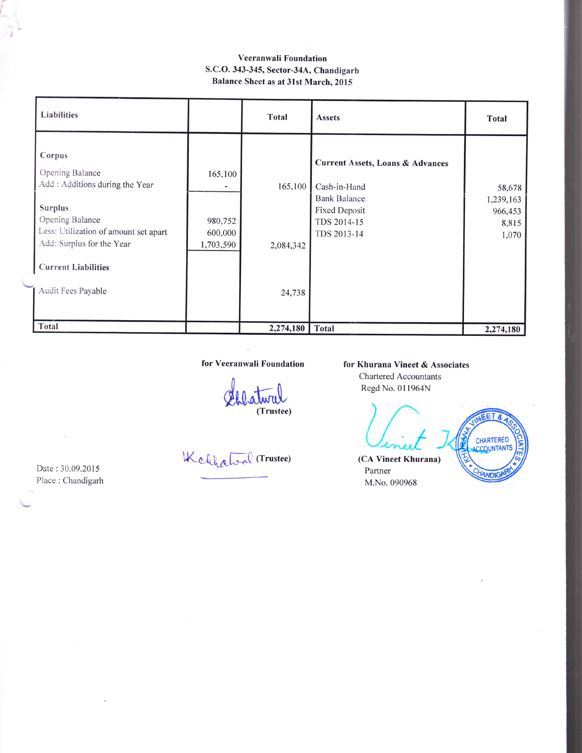## Veeranwali Foundation S.C.O. 343-345, Sector-34A, Chandigarh Balance Sheet as at 31st March, 2015

| Liabilities                                                                                                                                                                                           |                                            | <b>Total</b>         | <b>Assets</b>                                                                                                                            | <b>Total</b>                                     |
|-------------------------------------------------------------------------------------------------------------------------------------------------------------------------------------------------------|--------------------------------------------|----------------------|------------------------------------------------------------------------------------------------------------------------------------------|--------------------------------------------------|
| Corpus<br>Opening Balance<br>Add : Additions during the Year<br><b>Surplus</b><br>Opening Balance<br>Less: Utilization of amount set apart<br>Add: Surplus for the Year<br><b>Current Liabilities</b> | 165,100<br>980,752<br>600,000<br>1,703,590 | 165,100<br>2,084,342 | <b>Current Assets, Loans &amp; Advances</b><br>Cash-in-Hand<br><b>Bank Balance</b><br><b>Fixed Deposit</b><br>TDS 2014-15<br>TDS 2013-14 | 58,678<br>1,239,163<br>966,453<br>8,815<br>1,070 |
| Audit Fees Payable                                                                                                                                                                                    |                                            | 24,738               |                                                                                                                                          |                                                  |
| Total                                                                                                                                                                                                 |                                            | 2,274,180            | <b>Total</b>                                                                                                                             | 2,274,180                                        |

#### for Veeranwali Foundation

Lillaturul

Kchhaloal (Trustee)

### for Khurana Vineet & Associates

Chartered Accountants Regd No. 0l 1964N

nurana Vineet & As<br>
hartered Accountants<br>
legd No. 011964N<br>
Levice L.<br>
A Vineet Khurana)<br>
Pertner EET & CHARTERED (CA Partner **ANDK** M.No. 090968

Date : 30.09.2015 Place : Chandigarh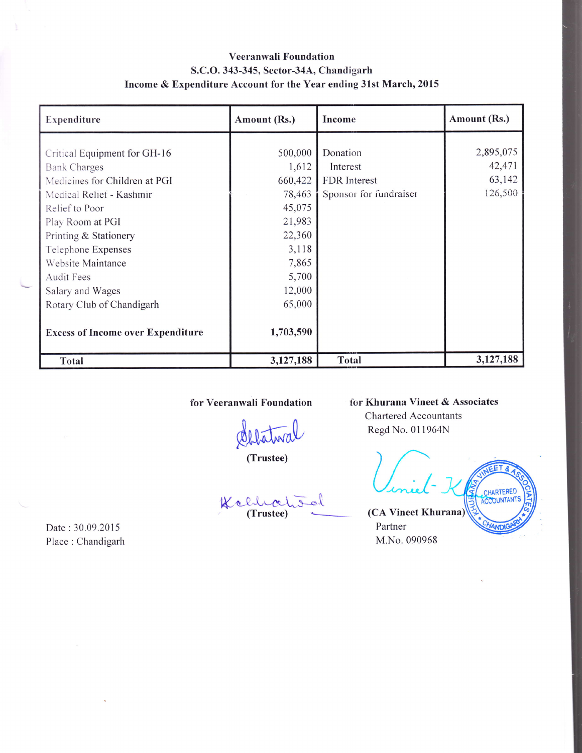# Veeranwali Foundation S.C.O. 343-345, Sector-34A, Chandigarh Income & Expenditure Account for the Year ending 31st March, 2015

| Expenditure                              | Amount (Rs.) | Income                 | Amount (Rs.) |
|------------------------------------------|--------------|------------------------|--------------|
|                                          |              |                        |              |
| Critical Equipment for GH-16             | 500,000      | Donation               | 2,895,075    |
| Bank Charges                             | 1,612        | Interest               | 42,471       |
| Medicines for Children at PGI            | 660,422      | <b>FDR</b> Interest    | 63,142       |
| Medical Relief - Kashmir                 | 78,463       | Sponsor for fundraiser | 126,500      |
| Relief to Poor                           | 45,075       |                        |              |
| Play Room at PGI                         | 21,983       |                        |              |
| Printing & Stationery                    | 22,360       |                        |              |
| Telephone Expenses                       | 3,118        |                        |              |
| Website Maintance                        | 7,865        |                        |              |
| <b>Audit Fees</b>                        | 5,700        |                        |              |
| Salary and Wages                         | 12,000       |                        |              |
| Rotary Club of Chandigarh                | 65,000       |                        |              |
| <b>Excess of Income over Expenditure</b> | 1,703,590    |                        |              |
| <b>Total</b>                             | 3,127,188    | Total                  | 3,127,188    |

for Yeeranwali Foundation

delatival

(Trustee)

Kellectod

for Khurana Vineet & Associates Chartered Accountants Regd No. 011964N

Viniel ET & CHARTERED (CA Vineet Khurana VANDIC

Partner M.No.090968

Date : 30.09.2015 Place : Chandigarh